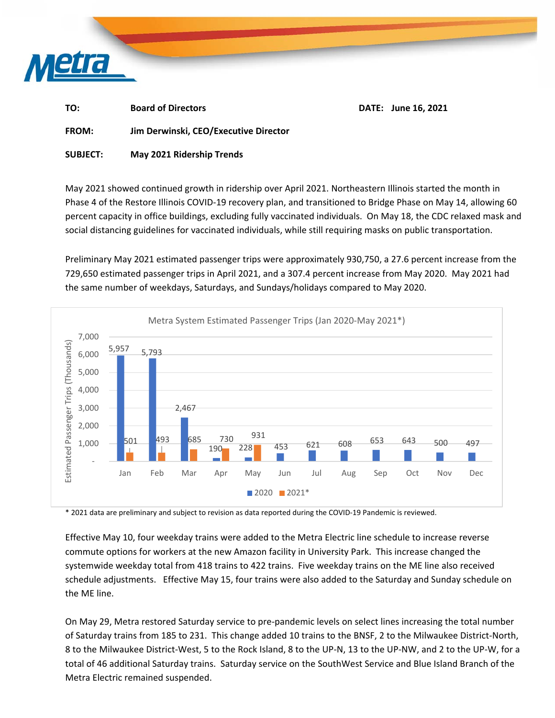

| TO: | <b>Board of Directors</b> | DATE: June 16, 2021 |
|-----|---------------------------|---------------------|
|-----|---------------------------|---------------------|

**FROM: Jim Derwinski, CEO/Executive Director** 

**SUBJECT: May 2021 Ridership Trends** 

May 2021 showed continued growth in ridership over April 2021. Northeastern Illinois started the month in Phase 4 of the Restore Illinois COVID‐19 recovery plan, and transitioned to Bridge Phase on May 14, allowing 60 percent capacity in office buildings, excluding fully vaccinated individuals. On May 18, the CDC relaxed mask and social distancing guidelines for vaccinated individuals, while still requiring masks on public transportation.

Preliminary May 2021 estimated passenger trips were approximately 930,750, a 27.6 percent increase from the 729,650 estimated passenger trips in April 2021, and a 307.4 percent increase from May 2020. May 2021 had the same number of weekdays, Saturdays, and Sundays/holidays compared to May 2020.



\* 2021 data are preliminary and subject to revision as data reported during the COVID‐19 Pandemic is reviewed.

Effective May 10, four weekday trains were added to the Metra Electric line schedule to increase reverse commute options for workers at the new Amazon facility in University Park. This increase changed the systemwide weekday total from 418 trains to 422 trains. Five weekday trains on the ME line also received schedule adjustments. Effective May 15, four trains were also added to the Saturday and Sunday schedule on the ME line.

On May 29, Metra restored Saturday service to pre‐pandemic levels on select lines increasing the total number of Saturday trains from 185 to 231. This change added 10 trains to the BNSF, 2 to the Milwaukee District‐North, 8 to the Milwaukee District‐West, 5 to the Rock Island, 8 to the UP‐N, 13 to the UP‐NW, and 2 to the UP‐W, for a total of 46 additional Saturday trains. Saturday service on the SouthWest Service and Blue Island Branch of the Metra Electric remained suspended.